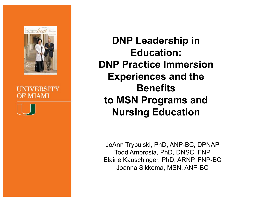

#### LINIVERSITY **OF MIAMI**

**DNP Leadership in Education: DNP Practice Immersion Experiences and the Benefits to MSN Programs and Nursing Education** 

JoAnn Trybulski, PhD, ANP-BC, DPNAP Todd Ambrosia, PhD, DNSC, FNP Elaine Kauschinger, PhD, ARNP, FNP-BC Joanna Sikkema, MSN, ANP-BC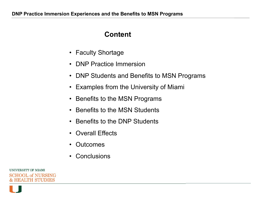#### **Content**

- Faculty Shortage
- DNP Practice Immersion
- DNP Students and Benefits to MSN Programs
- Examples from the University of Miami
- Benefits to the MSN Programs
- Benefits to the MSN Students
- Benefits to the DNP Students
- Overall Effects
- Outcomes
- Conclusions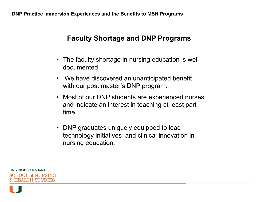#### **Faculty Shortage and DNP Programs**

- The faculty shortage in nursing education is well documented.
- We have discovered an unanticipated benefit with our post master's DNP program.
- Most of our DNP students are experienced nurses and indicate an interest in teaching at least part time.
- DNP graduates uniquely equipped to lead technology initiatives and clinical innovation in nursing education.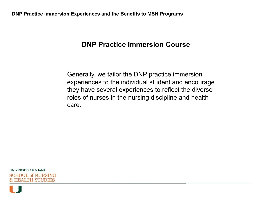#### **DNP Practice Immersion Course**

Generally, we tailor the DNP practice immersion experiences to the individual student and encourage they have several experiences to reflect the diverse roles of nurses in the nursing discipline and health care.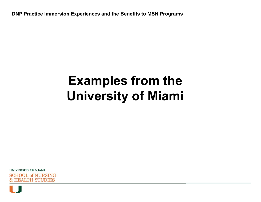# **Examples from the University of Miami**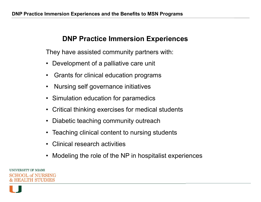#### **DNP Practice Immersion Experiences**

They have assisted community partners with:

- Development of a palliative care unit
- Grants for clinical education programs
- Nursing self governance initiatives
- Simulation education for paramedics
- Critical thinking exercises for medical students
- Diabetic teaching community outreach
- Teaching clinical content to nursing students
- Clinical research activities
- Modeling the role of the NP in hospitalist experiences

UNIVERSITY OF MIAMI HOOL of NURSING **HEAMERSTUDIES**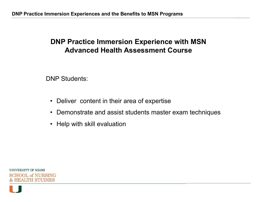# **DNP Practice Immersion Experience with MSN Advanced Health Assessment Course**

DNP Students:

- Deliver content in their area of expertise
- Demonstrate and assist students master exam techniques
- Help with skill evaluation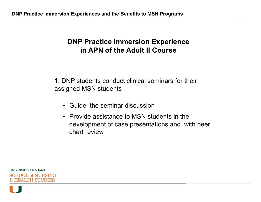1. DNP students conduct clinical seminars for their assigned MSN students

- Guide the seminar discussion
- Provide assistance to MSN students in the development of case presentations and with peer chart review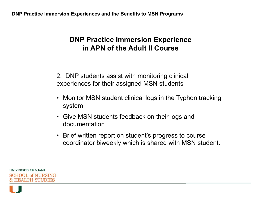2. DNP students assist with monitoring clinical experiences for their assigned MSN students

- Monitor MSN student clinical logs in the Typhon tracking system
- Give MSN students feedback on their logs and documentation
- Brief written report on student's progress to course coordinator biweekly which is shared with MSN student.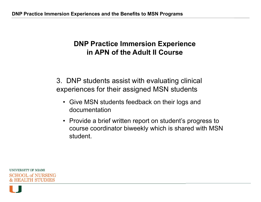3. DNP students assist with evaluating clinical experiences for their assigned MSN students

- Give MSN students feedback on their logs and documentation
- Provide a brief written report on student's progress to course coordinator biweekly which is shared with MSN student.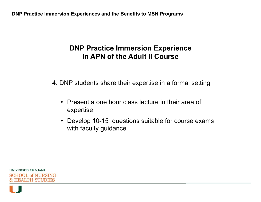4. DNP students share their expertise in a formal setting

- Present a one hour class lecture in their area of expertise
- Develop 10-15 questions suitable for course exams with faculty guidance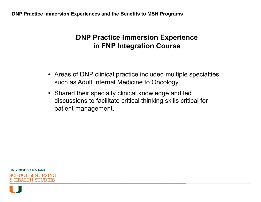# **DNP Practice Immersion Experience in FNP Integration Course**

- Areas of DNP clinical practice included multiple specialties such as Adult Internal Medicine to Oncology
- Shared their specialty clinical knowledge and led discussions to facilitate critical thinking skills critical for patient management.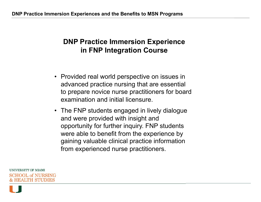# **DNP Practice Immersion Experience in FNP Integration Course**

- Provided real world perspective on issues in advanced practice nursing that are essential to prepare novice nurse practitioners for board examination and initial licensure.
- The FNP students engaged in lively dialogue and were provided with insight and opportunity for further inquiry. FNP students were able to benefit from the experience by gaining valuable clinical practice information from experienced nurse practitioners.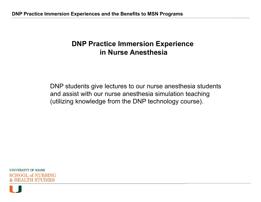#### **DNP Practice Immersion Experience in Nurse Anesthesia**

DNP students give lectures to our nurse anesthesia students and assist with our nurse anesthesia simulation teaching (utilizing knowledge from the DNP technology course).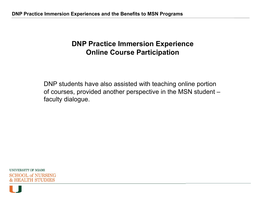### **DNP Practice Immersion Experience Online Course Participation**

DNP students have also assisted with teaching online portion of courses, provided another perspective in the MSN student – faculty dialogue.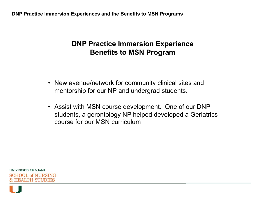# **DNP Practice Immersion Experience Benefits to MSN Program**

- New avenue/network for community clinical sites and mentorship for our NP and undergrad students.
- Assist with MSN course development. One of our DNP students, a gerontology NP helped developed a Geriatrics course for our MSN curriculum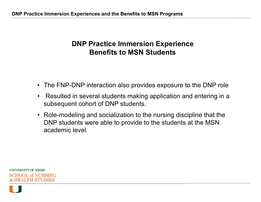# **DNP Practice Immersion Experience Benefits to MSN Students**

- The FNP-DNP interaction also provides exposure to the DNP role
- Resulted in several students making application and entering in a subsequent cohort of DNP students.
- Role-modeling and socialization to the nursing discipline that the DNP students were able to provide to the students at the MSN academic level.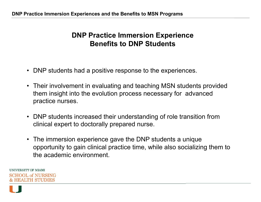#### **DNP Practice Immersion Experience Benefits to DNP Students**

- DNP students had a positive response to the experiences.
- Their involvement in evaluating and teaching MSN students provided them insight into the evolution process necessary for advanced practice nurses.
- DNP students increased their understanding of role transition from clinical expert to doctorally prepared nurse.
- The immersion experience gave the DNP students a unique opportunity to gain clinical practice time, while also socializing them to the academic environment.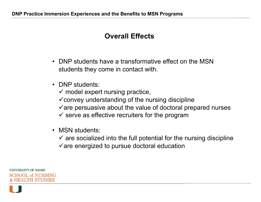#### **Overall Effects**

- DNP students have a transformative effect on the MSN students they come in contact with.
- DNP students:
	- $\checkmark$  model expert nursing practice,
	- $\checkmark$  convey understanding of the nursing discipline
	- $\checkmark$  are persuasive about the value of doctoral prepared nurses
	- $\checkmark$  serve as effective recruiters for the program
- MSN students:
	- $\checkmark$  are socialized into the full potential for the nursing discipline
	- $\checkmark$  are energized to pursue doctoral education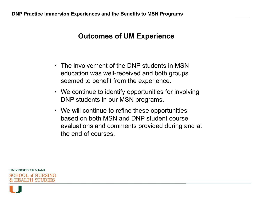## **Outcomes of UM Experience**

- The involvement of the DNP students in MSN education was well-received and both groups seemed to benefit from the experience.
- We continue to identify opportunities for involving DNP students in our MSN programs.
- We will continue to refine these opportunities based on both MSN and DNP student course evaluations and comments provided during and at the end of courses.